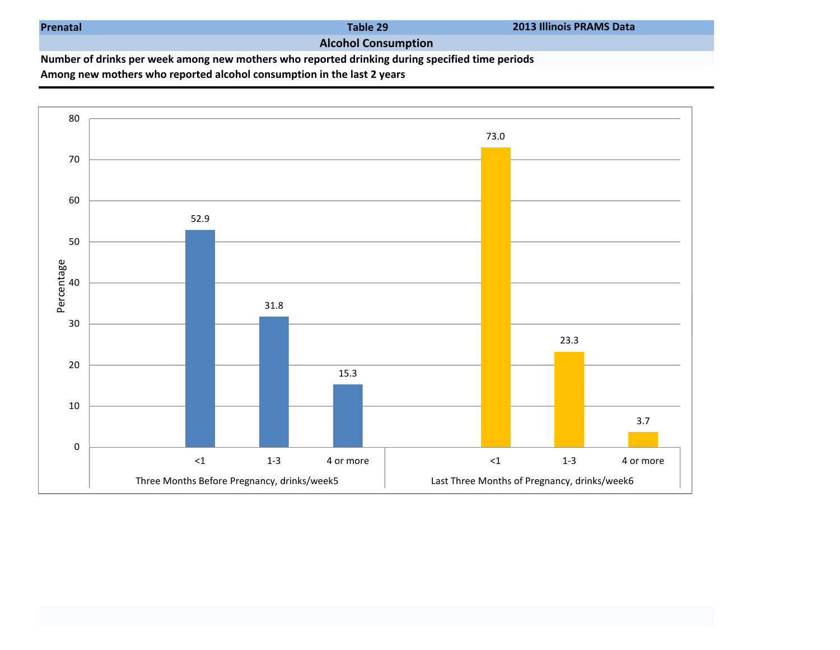| Prenatal |
|----------|
|----------|

Table 29

## Alcohol Consumption

Number of drinks per week among new mothers who reported drinking during specified time periods

Among new mothers who reported alcohol consumption in the last 2 years